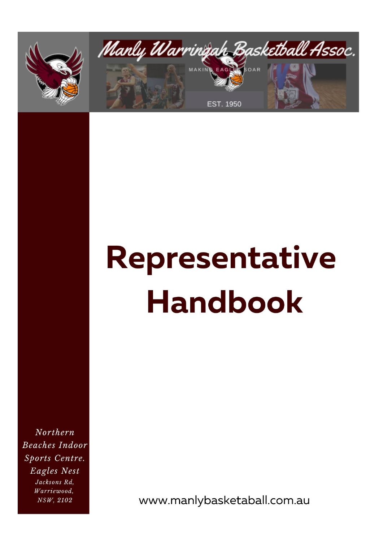



# Representative **Handbook**

Northern **Beaches Indoor** Sports Centre. Eagles Nest Jacksons Rd, Warriewood, NSW, 2102

www.manlybasketaball.com.au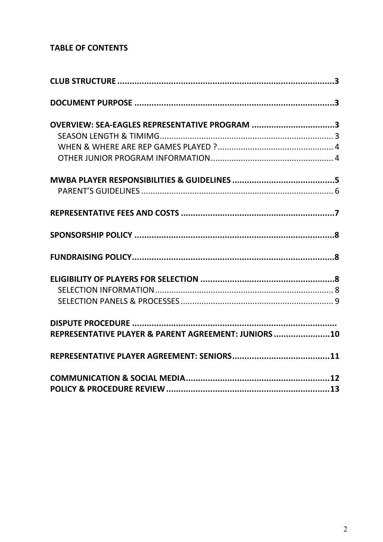# **TABLE OF CONTENTS**

| OVERVIEW: SEA-EAGLES REPRESENTATIVE PROGRAM 3        |  |
|------------------------------------------------------|--|
|                                                      |  |
|                                                      |  |
|                                                      |  |
|                                                      |  |
|                                                      |  |
|                                                      |  |
|                                                      |  |
|                                                      |  |
|                                                      |  |
|                                                      |  |
|                                                      |  |
|                                                      |  |
| REPRESENTATIVE PLAYER & PARENT AGREEMENT: JUNIORS 10 |  |
|                                                      |  |
|                                                      |  |
|                                                      |  |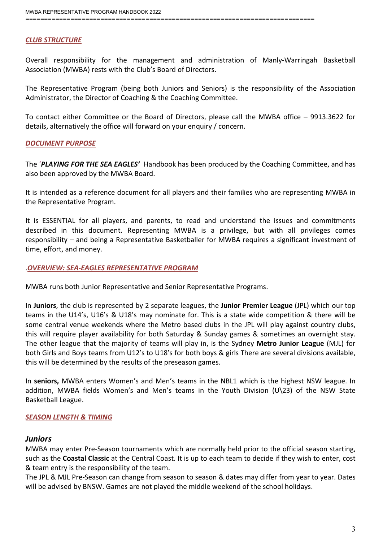#### <span id="page-2-0"></span>*CLUB STRUCTURE*

Overall responsibility for the management and administration of Manly-Warringah Basketball Association (MWBA) rests with the Club's Board of Directors.

The Representative Program (being both Juniors and Seniors) is the responsibility of the Association Administrator, the Director of Coaching & the Coaching Committee.

To contact either Committee or the Board of Directors, please call the MWBA office – 9913.3622 for details, alternatively the office will forward on your enquiry / concern.

#### <span id="page-2-1"></span>*DOCUMENT PURPOSE*

The '*PLAYING FOR THE SEA EAGLES'* Handbook has been produced by the Coaching Committee, and has also been approved by the MWBA Board.

It is intended as a reference document for all players and their families who are representing MWBA in the Representative Program.

It is ESSENTIAL for all players, and parents, to read and understand the issues and commitments described in this document. Representing MWBA is a privilege, but with all privileges comes responsibility – and being a Representative Basketballer for MWBA requires a significant investment of time, effort, and money.

#### .*OVERVIEW: SEA-EAGLES REPRESENTATIVE PROGRAM*

MWBA runs both Junior Representative and Senior Representative Programs.

In **Juniors**, the club is represented by 2 separate leagues, the **Junior Premier League** (JPL) which our top teams in the U14's, U16's & U18's may nominate for. This is a state wide competition & there will be some central venue weekends where the Metro based clubs in the JPL will play against country clubs, this will require player availability for both Saturday & Sunday games & sometimes an overnight stay. The other league that the majority of teams will play in, is the Sydney **Metro Junior League** (MJL) for both Girls and Boys teams from U12's to U18's for both boys & girls There are several divisions available, this will be determined by the results of the preseason games.

In **seniors,** MWBA enters Women's and Men's teams in the NBL1 which is the highest NSW league. In addition, MWBA fields Women's and Men's teams in the Youth Division (U\23) of the NSW State Basketball League.

#### *SEASON LENGTH & TIMING*

#### *Juniors*

MWBA may enter Pre-Season tournaments which are normally held prior to the official season starting, such as the **Coastal Classic** at the Central Coast. It is up to each team to decide if they wish to enter, cost & team entry is the responsibility of the team.

The JPL & MJL Pre-Season can change from season to season & dates may differ from year to year. Dates will be advised by BNSW. Games are not played the middle weekend of the school holidays.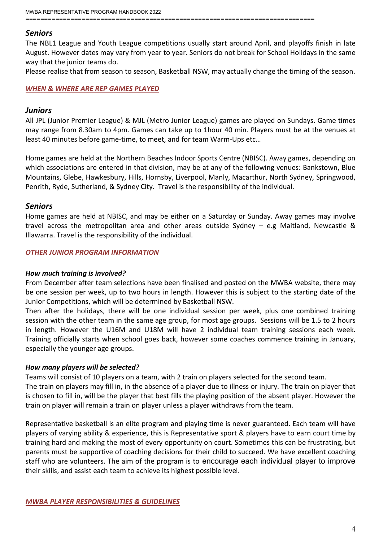#### *Seniors*

The NBL1 League and Youth League competitions usually start around April, and playoffs finish in late August. However dates may vary from year to year. Seniors do not break for School Holidays in the same way that the junior teams do.

<span id="page-3-0"></span>Please realise that from season to season, Basketball NSW, may actually change the timing of the season.

#### *WHEN & WHERE ARE REP GAMES PLAYED*

#### *Juniors*

All JPL (Junior Premier League) & MJL (Metro Junior League) games are played on Sundays. Game times may range from 8.30am to 4pm. Games can take up to 1hour 40 min. Players must be at the venues at least 40 minutes before game-time, to meet, and for team Warm-Ups etc…

Home games are held at the Northern Beaches Indoor Sports Centre (NBISC). Away games, depending on which associations are entered in that division, may be at any of the following venues: Bankstown, Blue Mountains, Glebe, Hawkesbury, Hills, Hornsby, Liverpool, Manly, Macarthur, North Sydney, Springwood, Penrith, Ryde, Sutherland, & Sydney City. Travel is the responsibility of the individual.

#### *Seniors*

Home games are held at NBISC, and may be either on a Saturday or Sunday. Away games may involve travel across the metropolitan area and other areas outside Sydney – e.g Maitland, Newcastle & Illawarra. Travel is the responsibility of the individual.

#### *OTHER JUNIOR PROGRAM INFORMATION*

#### *How much training is involved?*

From December after team selections have been finalised and posted on the MWBA website, there may be one session per week, up to two hours in length. However this is subject to the starting date of the Junior Competitions, which will be determined by Basketball NSW.

Then after the holidays, there will be one individual session per week, plus one combined training session with the other team in the same age group, for most age groups. Sessions will be 1.5 to 2 hours in length. However the U16M and U18M will have 2 individual team training sessions each week. Training officially starts when school goes back, however some coaches commence training in January, especially the younger age groups.

#### *How many players will be selected?*

Teams will consist of 10 players on a team, with 2 train on players selected for the second team.

The train on players may fill in, in the absence of a player due to illness or injury. The train on player that is chosen to fill in, will be the player that best fills the playing position of the absent player. However the train on player will remain a train on player unless a player withdraws from the team.

Representative basketball is an elite program and playing time is never guaranteed. Each team will have players of varying ability & experience, this is Representative sport & players have to earn court time by training hard and making the most of every opportunity on court. Sometimes this can be frustrating, but parents must be supportive of coaching decisions for their child to succeed. We have excellent coaching staff who are volunteers. The aim of the program is to encourage each individual player to improve their skills, and assist each team to achieve its highest possible level.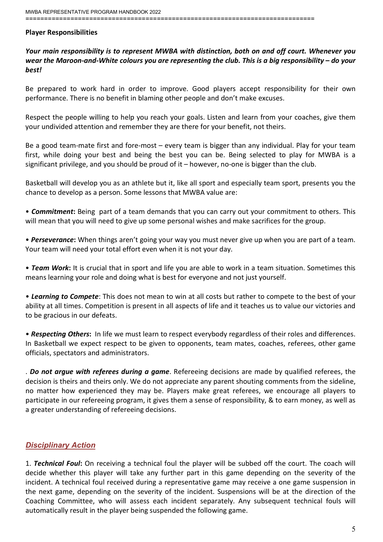#### **Player Responsibilities**

#### *Your main responsibility is to represent MWBA with distinction, both on and off court. Whenever you wear the Maroon-and-White colours you are representing the club. This is a big responsibility – do your best!*

Be prepared to work hard in order to improve. Good players accept responsibility for their own performance. There is no benefit in blaming other people and don't make excuses.

Respect the people willing to help you reach your goals. Listen and learn from your coaches, give them your undivided attention and remember they are there for your benefit, not theirs.

Be a good team-mate first and fore-most – every team is bigger than any individual. Play for your team first, while doing your best and being the best you can be. Being selected to play for MWBA is a significant privilege, and you should be proud of it – however, no-one is bigger than the club.

Basketball will develop you as an athlete but it, like all sport and especially team sport, presents you the chance to develop as a person. Some lessons that MWBA value are:

• *Commitment***:** Being part of a team demands that you can carry out your commitment to others. This will mean that you will need to give up some personal wishes and make sacrifices for the group.

• *Perseverance***:** When things aren't going your way you must never give up when you are part of a team. Your team will need your total effort even when it is not your day.

• *Team Work***:** It is crucial that in sport and life you are able to work in a team situation. Sometimes this means learning your role and doing what is best for everyone and not just yourself.

• *Learning to Compete*: This does not mean to win at all costs but rather to compete to the best of your ability at all times. Competition is present in all aspects of life and it teaches us to value our victories and to be gracious in our defeats.

• *Respecting Others***:** In life we must learn to respect everybody regardless of their roles and differences. In Basketball we expect respect to be given to opponents, team mates, coaches, referees, other game officials, spectators and administrators.

. *Do not argue with referees during a game*. Refereeing decisions are made by qualified referees, the decision is theirs and theirs only. We do not appreciate any parent shouting comments from the sideline, no matter how experienced they may be. Players make great referees, we encourage all players to participate in our refereeing program, it gives them a sense of responsibility, & to earn money, as well as a greater understanding of refereeing decisions.

# *Disciplinary Action*

1. *Technical Foul***:** On receiving a technical foul the player will be subbed off the court. The coach will decide whether this player will take any further part in this game depending on the severity of the incident. A technical foul received during a representative game may receive a one game suspension in the next game, depending on the severity of the incident. Suspensions will be at the direction of the Coaching Committee, who will assess each incident separately. Any subsequent technical fouls will automatically result in the player being suspended the following game.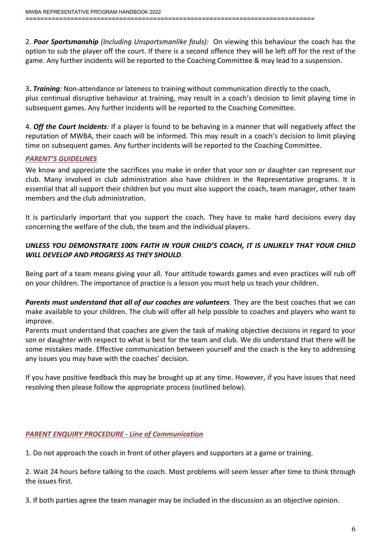2. *Poor Sportsmanship (Including Unsportsmanlike fouls):* On viewing this behaviour the coach has the option to sub the player off the court. If there is a second offence they will be left off for the rest of the game. Any further incidents will be reported to the Coaching Committee & may lead to a suspension.

3**.** *Training:* Non-attendance or lateness to training without communication directly to the coach, plus continual disruptive behaviour at training, may result in a coach's decision to limit playing time in subsequent games. Any further incidents will be reported to the Coaching Committee.

4. *Off the Court Incidents:* If a player is found to be behaving in a manner that will negatively affect the reputation of MWBA, their coach will be informed. This may result in a coach's decision to limit playing time on subsequent games. Any further incidents will be reported to the Coaching Committee.

## <span id="page-5-0"></span>*PARENT'S GUIDELINES*

We know and appreciate the sacrifices you make in order that your son or daughter can represent our club. Many involved in club administration also have children in the Representative programs. It is essential that all support their children but you must also support the coach, team manager, other team members and the club administration.

It is particularly important that you support the coach. They have to make hard decisions every day concerning the welfare of the club, the team and the individual players.

# *UNLESS YOU DEMONSTRATE 100% FAITH IN YOUR CHILD'S COACH, IT IS UNLIKELY THAT YOUR CHILD WILL DEVELOP AND PROGRESS AS THEY SHOULD*.

Being part of a team means giving your all. Your attitude towards games and even practices will rub off on your children. The importance of practice is a lesson you must help us teach your children.

*Parents must understand that all of our coaches are volunteers*. They are the best coaches that we can make available to your children. The club will offer all help possible to coaches and players who want to improve.

Parents must understand that coaches are given the task of making objective decisions in regard to your son or daughter with respect to what is best for the team and club. We do understand that there will be some mistakes made. Effective communication between yourself and the coach is the key to addressing any issues you may have with the coaches' decision.

If you have positive feedback this may be brought up at any time. However, if you have issues that need resolving then please follow the appropriate process (outlined below).

# *PARENT ENQUIRY PROCEDURE - Line of Communication*

1. Do not approach the coach in front of other players and supporters at a game or training.

2. Wait 24 hours before talking to the coach. Most problems will seem lesser after time to think through the issues first.

3. If both parties agree the team manager may be included in the discussion as an objective opinion.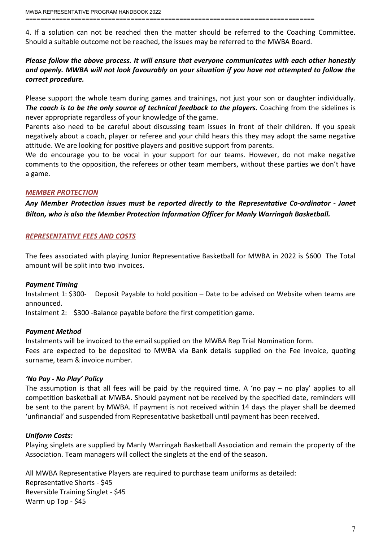4. If a solution can not be reached then the matter should be referred to the Coaching Committee. Should a suitable outcome not be reached, the issues may be referred to the MWBA Board.

# *Please follow the above process. It will ensure that everyone communicates with each other honestly and openly. MWBA will not look favourably on your situation if you have not attempted to follow the correct procedure.*

Please support the whole team during games and trainings, not just your son or daughter individually. *The coach is to be the only source of technical feedback to the players.* Coaching from the sidelines is never appropriate regardless of your knowledge of the game.

Parents also need to be careful about discussing team issues in front of their children. If you speak negatively about a coach, player or referee and your child hears this they may adopt the same negative attitude. We are looking for positive players and positive support from parents.

We do encourage you to be vocal in your support for our teams. However, do not make negative comments to the opposition, the referees or other team members, without these parties we don't have a game.

## *MEMBER PROTECTION*

<span id="page-6-0"></span>*Any Member Protection issues must be reported directly to the Representative Co-ordinator - Janet Bilton, who is also the Member Protection Information Officer for Manly Warringah Basketball.*

## *REPRESENTATIVE FEES AND COSTS*

The fees associated with playing Junior Representative Basketball for MWBA in 2022 is \$600 The Total amount will be split into two invoices.

#### *Payment Timing*

Instalment 1: \$300- Deposit Payable to hold position – Date to be advised on Website when teams are announced.

Instalment 2: \$300 -Balance payable before the first competition game.

#### *Payment Method*

Instalments will be invoiced to the email supplied on the MWBA Rep Trial Nomination form. Fees are expected to be deposited to MWBA via Bank details supplied on the Fee invoice, quoting surname, team & invoice number.

# *'No Pay - No Play' Policy*

The assumption is that all fees will be paid by the required time. A 'no pay – no play' applies to all competition basketball at MWBA. Should payment not be received by the specified date, reminders will be sent to the parent by MWBA. If payment is not received within 14 days the player shall be deemed 'unfinancial' and suspended from Representative basketball until payment has been received.

#### *Uniform Costs:*

Playing singlets are supplied by Manly Warringah Basketball Association and remain the property of the Association. Team managers will collect the singlets at the end of the season.

All MWBA Representative Players are required to purchase team uniforms as detailed: Representative Shorts - \$45 Reversible Training Singlet - \$45 Warm up Top - \$45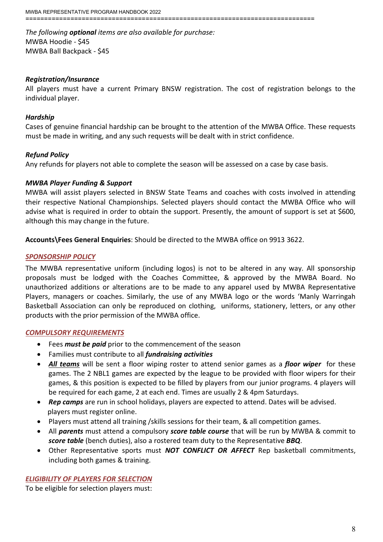*The following optional items are also available for purchase:* MWBA Hoodie - \$45 MWBA Ball Backpack - \$45

#### *Registration/Insurance*

All players must have a current Primary BNSW registration. The cost of registration belongs to the individual player.

#### *Hardship*

Cases of genuine financial hardship can be brought to the attention of the MWBA Office. These requests must be made in writing, and any such requests will be dealt with in strict confidence.

#### *Refund Policy*

Any refunds for players not able to complete the season will be assessed on a case by case basis.

#### *MWBA Player Funding & Support*

MWBA will assist players selected in BNSW State Teams and coaches with costs involved in attending their respective National Championships. Selected players should contact the MWBA Office who will advise what is required in order to obtain the support. Presently, the amount of support is set at \$600, although this may change in the future.

<span id="page-7-0"></span>**Accounts\Fees General Enquiries**: Should be directed to the MWBA office on 9913 3622.

#### *SPONSORSHIP POLICY*

The MWBA representative uniform (including logos) is not to be altered in any way. All sponsorship proposals must be lodged with the Coaches Committee, & approved by the MWBA Board. No unauthorized additions or alterations are to be made to any apparel used by MWBA Representative Players, managers or coaches. Similarly, the use of any MWBA logo or the words 'Manly Warringah Basketball Association can only be reproduced on clothing, uniforms, stationery, letters, or any other products with the prior permission of the MWBA office.

#### <span id="page-7-1"></span>*COMPULSORY REQUIREMENTS*

- Fees *must be paid* prior to the commencement of the season
- Families must contribute to all *fundraising activities*
- *All teams* will be sent a floor wiping roster to attend senior games as a *floor wiper* for these games. The 2 NBL1 games are expected by the league to be provided with floor wipers for their games, & this position is expected to be filled by players from our junior programs. 4 players will be required for each game, 2 at each end. Times are usually 2 & 4pm Saturdays.
- *Rep camps* are run in school holidays, players are expected to attend. Dates will be advised. players must register online.
- Players must attend all training /skills sessions for their team, & all competition games.
- All *parents* must attend a compulsory *score table course* that will be run by MWBA & commit to *score table* (bench duties), also a rostered team duty to the Representative *BBQ*.
- Other Representative sports must *NOT CONFLICT OR AFFECT* Rep basketball commitments, including both games & training.

#### *ELIGIBILITY OF PLAYERS FOR SELECTION*

To be eligible for selection players must: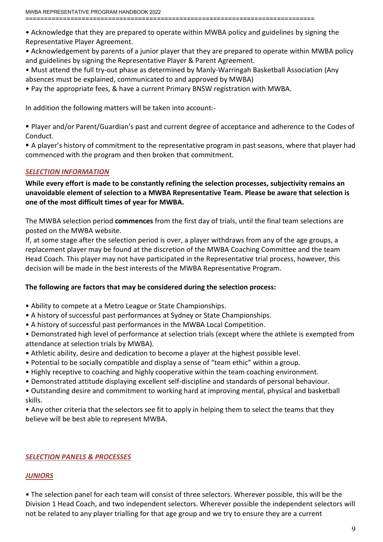• Acknowledge that they are prepared to operate within MWBA policy and guidelines by signing the Representative Player Agreement.

• Acknowledgement by parents of a junior player that they are prepared to operate within MWBA policy and guidelines by signing the Representative Player & Parent Agreement.

- Must attend the full try-out phase as determined by Manly-Warringah Basketball Association (Any absences must be explained, communicated to and approved by MWBA)
- Pay the appropriate fees, & have a current Primary BNSW registration with MWBA.

In addition the following matters will be taken into account:-

 Player and/or Parent/Guardian's past and current degree of acceptance and adherence to the Codes of Conduct.

 A player's history of commitment to the representative program in past seasons, where that player had commenced with the program and then broken that commitment.

#### <span id="page-8-0"></span>*SELECTION INFORMATION*

**While every effort is made to be constantly refining the selection processes, subjectivity remains an unavoidable element of selection to a MWBA Representative Team. Please be aware that selection is one of the most difficult times of year for MWBA.**

The MWBA selection period **commences** from the first day of trials, until the final team selections are posted on the MWBA website.

If, at some stage after the selection period is over, a player withdraws from any of the age groups, a replacement player may be found at the discretion of the MWBA Coaching Committee and the team Head Coach. This player may not have participated in the Representative trial process, however, this decision will be made in the best interests of the MWBA Representative Program.

#### **The following are factors that may be considered during the selection process:**

- Ability to compete at a Metro League or State Championships.
- A history of successful past performances at Sydney or State Championships.
- A history of successful past performances in the MWBA Local Competition.

• Demonstrated high level of performance at selection trials (except where the athlete is exempted from attendance at selection trials by MWBA).

- Athletic ability, desire and dedication to become a player at the highest possible level.
- Potential to be socially compatible and display a sense of "team ethic" within a group.
- Highly receptive to coaching and highly cooperative within the team coaching environment.
- Demonstrated attitude displaying excellent self-discipline and standards of personal behaviour.
- Outstanding desire and commitment to working hard at improving mental, physical and basketball skills.

<span id="page-8-1"></span>• Any other criteria that the selectors see fit to apply in helping them to select the teams that they believe will be best able to represent MWBA.

#### *SELECTION PANELS & PROCESSES*

#### *JUNIORS*

• The selection panel for each team will consist of three selectors. Wherever possible, this will be the Division 1 Head Coach, and two independent selectors. Wherever possible the independent selectors will not be related to any player trialling for that age group and we try to ensure they are a current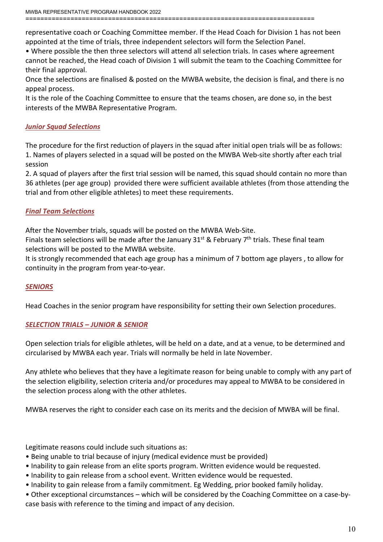representative coach or Coaching Committee member. If the Head Coach for Division 1 has not been appointed at the time of trials, three independent selectors will form the Selection Panel.

• Where possible the then three selectors will attend all selection trials. In cases where agreement cannot be reached, the Head coach of Division 1 will submit the team to the Coaching Committee for their final approval.

Once the selections are finalised & posted on the MWBA website, the decision is final, and there is no appeal process.

It is the role of the Coaching Committee to ensure that the teams chosen, are done so, in the best interests of the MWBA Representative Program.

# *Junior Squad Selections*

The procedure for the first reduction of players in the squad after initial open trials will be as follows: 1. Names of players selected in a squad will be posted on the MWBA Web-site shortly after each trial session

2. A squad of players after the first trial session will be named, this squad should contain no more than 36 athletes (per age group) provided there were sufficient available athletes (from those attending the trial and from other eligible athletes) to meet these requirements.

# *Final Team Selections*

After the November trials, squads will be posted on the MWBA Web-Site.

Finals team selections will be made after the January 31<sup>st</sup> & February 7<sup>th</sup> trials. These final team selections will be posted to the MWBA website.

It is strongly recommended that each age group has a minimum of 7 bottom age players , to allow for continuity in the program from year-to-year.

#### *SENIORS*

Head Coaches in the senior program have responsibility for setting their own Selection procedures.

#### *SELECTION TRIALS – JUNIOR & SENIOR*

Open selection trials for eligible athletes, will be held on a date, and at a venue, to be determined and circularised by MWBA each year. Trials will normally be held in late November.

Any athlete who believes that they have a legitimate reason for being unable to comply with any part of the selection eligibility, selection criteria and/or procedures may appeal to MWBA to be considered in the selection process along with the other athletes.

MWBA reserves the right to consider each case on its merits and the decision of MWBA will be final.

Legitimate reasons could include such situations as:

- Being unable to trial because of injury (medical evidence must be provided)
- Inability to gain release from an elite sports program. Written evidence would be requested.
- Inability to gain release from a school event. Written evidence would be requested.
- Inability to gain release from a family commitment. Eg Wedding, prior booked family holiday.

• Other exceptional circumstances – which will be considered by the Coaching Committee on a case-bycase basis with reference to the timing and impact of any decision.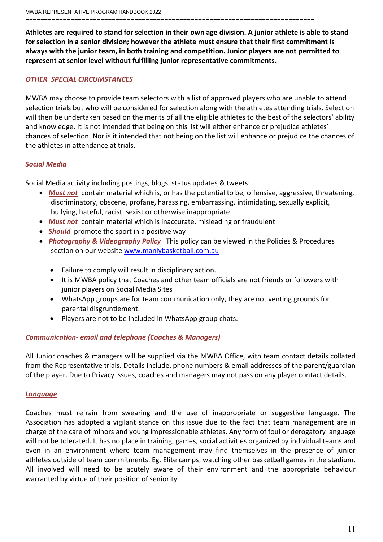**Athletes are required to stand for selection in their own age division. A junior athlete is able to stand for selection in a senior division; however the athlete must ensure that their first commitment is always with the junior team, in both training and competition. Junior players are not permitted to represent at senior level without fulfilling junior representative commitments.**

#### *OTHER SPECIAL CIRCUMSTANCES*

MWBA may choose to provide team selectors with a list of approved players who are unable to attend selection trials but who will be considered for selection along with the athletes attending trials. Selection will then be undertaken based on the merits of all the eligible athletes to the best of the selectors' ability and knowledge. It is not intended that being on this list will either enhance or prejudice athletes' chances of selection. Nor is it intended that not being on the list will enhance or prejudice the chances of the athletes in attendance at trials.

# *Social Media*

Social Media activity including postings, blogs, status updates & tweets:

- *Must not* contain material which is, or has the potential to be, offensive, aggressive, threatening, discriminatory, obscene, profane, harassing, embarrassing, intimidating, sexually explicit, bullying, hateful, racist, sexist or otherwise inappropriate.
- *Must not* contain material which is inaccurate, misleading or fraudulent
- **Should** promote the sport in a positive way
- *Photography & Videography Policy* This policy can be viewed in the Policies & Procedures section on our websit[e www.manlybasketball.com.au](http://www.manlybasketball.com.au/)
	- Failure to comply will result in disciplinary action.
	- It is MWBA policy that Coaches and other team officials are not friends or followers with junior players on Social Media Sites
	- WhatsApp groups are for team communication only, they are not venting grounds for parental disgruntlement.
	- Players are not to be included in WhatsApp group chats.

# *Communication- email and telephone (Coaches & Managers)*

All Junior coaches & managers will be supplied via the MWBA Office, with team contact details collated from the Representative trials. Details include, phone numbers & email addresses of the parent/guardian of the player. Due to Privacy issues, coaches and managers may not pass on any player contact details.

#### *Language*

Coaches must refrain from swearing and the use of inappropriate or suggestive language. The Association has adopted a vigilant stance on this issue due to the fact that team management are in charge of the care of minors and young impressionable athletes. Any form of foul or derogatory language will not be tolerated. It has no place in training, games, social activities organized by individual teams and even in an environment where team management may find themselves in the presence of junior athletes outside of team commitments. Eg. Elite camps, watching other basketball games in the stadium. All involved will need to be acutely aware of their environment and the appropriate behaviour warranted by virtue of their position of seniority.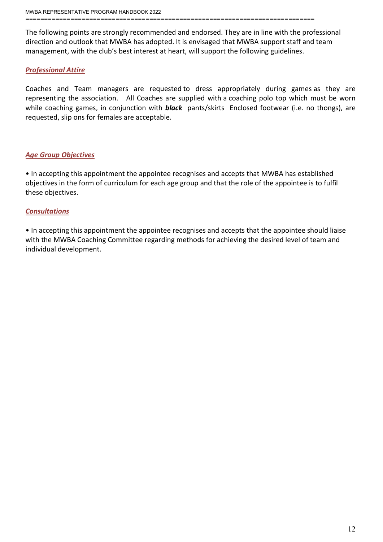The following points are strongly recommended and endorsed. They are in line with the professional direction and outlook that MWBA has adopted. It is envisaged that MWBA support staff and team management, with the club's best interest at heart, will support the following guidelines.

# *Professional Attire*

Coaches and Team managers are requested to dress appropriately during games as they are representing the association. All Coaches are supplied with a coaching polo top which must be worn while coaching games, in conjunction with *black* pants/skirts Enclosed footwear (i.e. no thongs), are requested, slip ons for females are acceptable.

# *Age Group Objectives*

• In accepting this appointment the appointee recognises and accepts that MWBA has established objectives in the form of curriculum for each age group and that the role of the appointee is to fulfil these objectives.

# *Consultations*

• In accepting this appointment the appointee recognises and accepts that the appointee should liaise with the MWBA Coaching Committee regarding methods for achieving the desired level of team and individual development.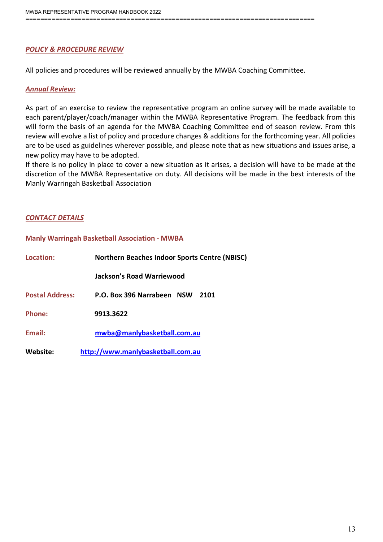# <span id="page-12-0"></span>*POLICY & PROCEDURE REVIEW*

All policies and procedures will be reviewed annually by the MWBA Coaching Committee.

#### *Annual Review:*

As part of an exercise to review the representative program an online survey will be made available to each parent/player/coach/manager within the MWBA Representative Program. The feedback from this will form the basis of an agenda for the MWBA Coaching Committee end of season review. From this review will evolve a list of policy and procedure changes & additions for the forthcoming year. All policies are to be used as guidelines wherever possible, and please note that as new situations and issues arise, a new policy may have to be adopted.

If there is no policy in place to cover a new situation as it arises, a decision will have to be made at the discretion of the MWBA Representative on duty. All decisions will be made in the best interests of the Manly Warringah Basketball Association

#### *CONTACT DETAILS*

**Manly Warringah Basketball Association - MWBA**

| Location:              | <b>Northern Beaches Indoor Sports Centre (NBISC)</b> |
|------------------------|------------------------------------------------------|
|                        | <b>Jackson's Road Warriewood</b>                     |
| <b>Postal Address:</b> | P.O. Box 396 Narrabeen NSW<br>2101                   |
| Phone:                 | 9913.3622                                            |
| <b>Fmail:</b>          | mwba@manlybasketball.com.au                          |
| Website:               | http://www.manlybasketball.com.au                    |